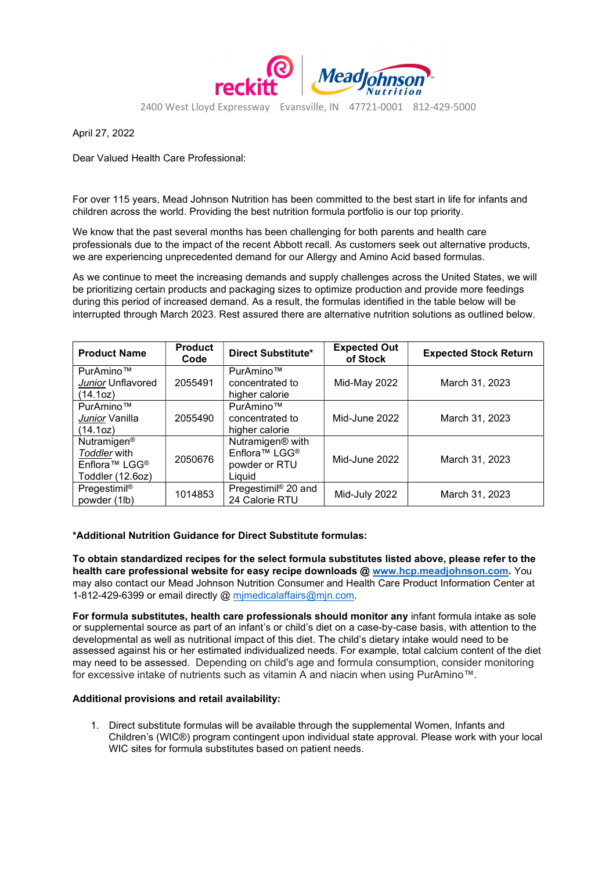

April 27, 2022

Dear Valued Health Care Professional:

For over 115 years, Mead Johnson Nutrition has been committed to the best start in life for infants and children across the world. Providing the best nutrition formula portfolio is our top priority.

We know that the past several months has been challenging for both parents and health care professionals due to the impact of the recent Abbott recall. As customers seek out alternative products, we are experiencing unprecedented demand for our Allergy and Amino Acid based formulas.

As we continue to meet the increasing demands and supply challenges across the United States, we will be prioritizing certain products and packaging sizes to optimize production and provide more feedings during this period of increased demand. As a result, the formulas identified in the table below will be interrupted through March 2023. Rest assured there are alternative nutrition solutions as outlined below.

| <b>Product Name</b>                                                                                  | <b>Product</b><br>Code | <b>Direct Substitute*</b>                                                                        | <b>Expected Out</b><br>of Stock | <b>Expected Stock Return</b> |
|------------------------------------------------------------------------------------------------------|------------------------|--------------------------------------------------------------------------------------------------|---------------------------------|------------------------------|
| PurAmino™<br>Junior Unflavored<br>(14.1oz)                                                           | 2055491                | PurAmino™<br>concentrated to<br>higher calorie                                                   | Mid-May 2022                    | March 31, 2023               |
| PurAmino™<br>Junior Vanilla<br>(14.1oz)                                                              | 2055490                | PurAmino™<br>concentrated to<br>higher calorie                                                   | Mid-June 2022                   | March 31, 2023               |
| Nutramigen <sup>®</sup><br>Toddler with<br>Enflora <sup>™</sup> LGG <sup>®</sup><br>Toddler (12.6oz) | 2050676                | Nutramigen <sup>®</sup> with<br>Enflora <sup>™</sup> LGG <sup>®</sup><br>powder or RTU<br>Liauid | Mid-June 2022                   | March 31, 2023               |
| Pregestimil®<br>powder (1lb)                                                                         | 1014853                | Pregestimil <sup>®</sup> 20 and<br>24 Calorie RTU                                                | Mid-July 2022                   | March 31, 2023               |

## \*Additional Nutrition Guidance for Direct Substitute formulas:

To obtain standardized recipes for the select formula substitutes listed above, please refer to the health care professional website for easy recipe downloads @ www.hcp.meadjohnson.com. You may also contact our Mead Johnson Nutrition Consumer and Health Care Product Information Center at 1-812-429-6399 or email directly @ mimedicalaffairs@min.com.

For formula substitutes, health care professionals should monitor any infant formula intake as sole or supplemental source as part of an infant's or child's diet on a case-by-case basis, with attention to the developmental as well as nutritional impact of this diet. The child's dietary intake would need to be assessed against his or her estimated individualized needs. For example, total calcium content of the diet may need to be assessed. Depending on child's age and formula consumption, consider monitoring for excessive intake of nutrients such as vitamin A and niacin when using PurAmino™.

## Additional provisions and retail availability:

1. Direct substitute formulas will be available through the supplemental Women, Infants and Children's (WIC®) program contingent upon individual state approval. Please work with your local WIC sites for formula substitutes based on patient needs.